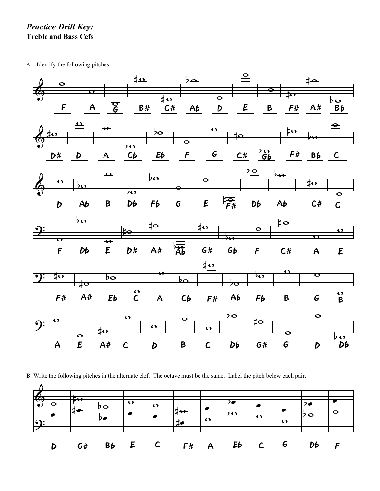## *Practice Drill Key:* **Treble and Bass Cefs**

A. Identify the following pitches:



B. Write the following pitches in the alternate clef. The octave must be the same. Label the pitch below each pair.